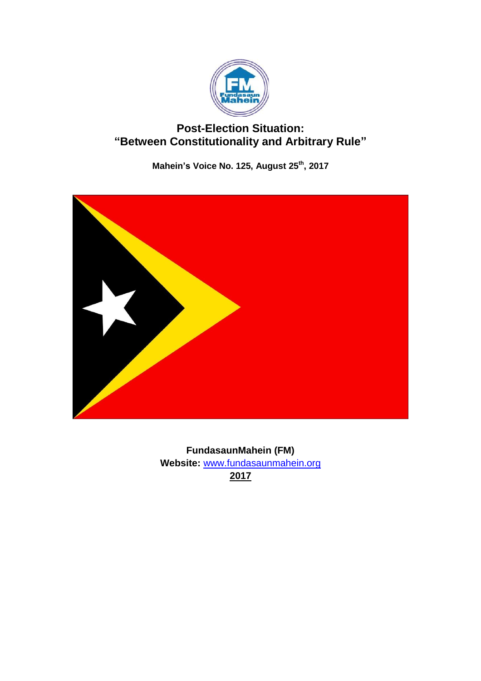

# **Post-Election Situation: "Between Constitutionality and Arbitrary Rule"**

**Mahein's Voice No. 125, August 25th , 2017**



**FundasaunMahein (FM) Website:** [www.fundasaunmahein.org](http://www.fundasaunmahein.org/) **2017**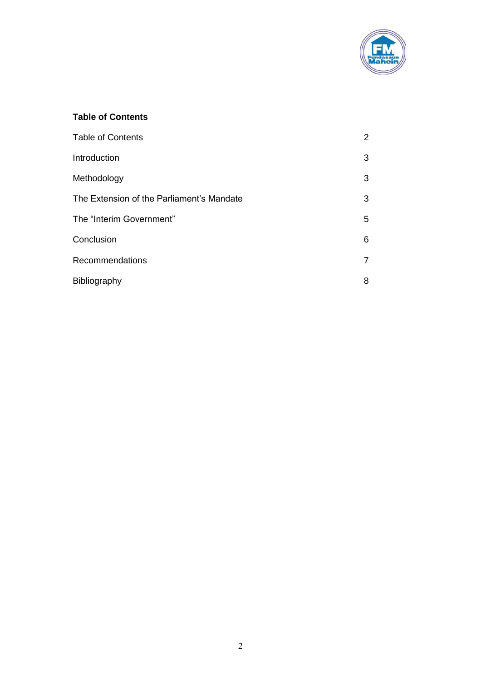

## **Table of Contents**

| <b>Table of Contents</b>                  | $\overline{2}$ |
|-------------------------------------------|----------------|
| Introduction                              | 3              |
| Methodology                               | 3              |
| The Extension of the Parliament's Mandate | 3              |
| The "Interim Government"                  | 5              |
| Conclusion                                | 6              |
| <b>Recommendations</b>                    | $\overline{7}$ |
| Bibliography                              | 8              |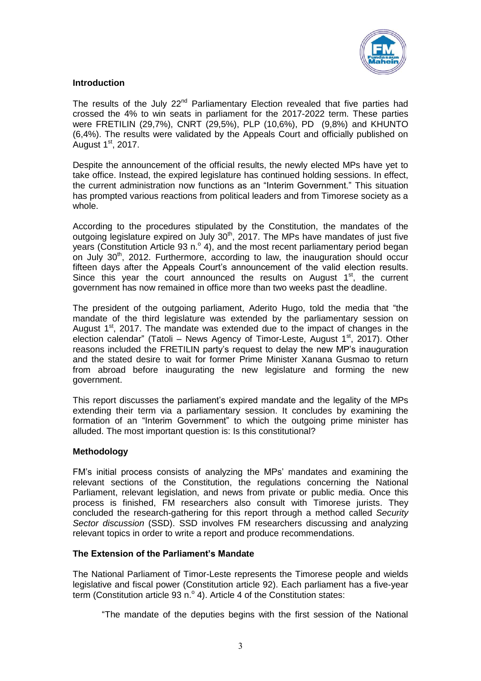

### **Introduction**

The results of the July 22<sup>nd</sup> Parliamentary Election revealed that five parties had crossed the 4% to win seats in parliament for the 2017-2022 term. These parties were FRETILIN (29,7%), CNRT (29,5%), PLP (10,6%), PD (9,8%) and KHUNTO (6,4%). The results were validated by the Appeals Court and officially published on August  $1<sup>st</sup>$ , 2017.

Despite the announcement of the official results, the newly elected MPs have yet to take office. Instead, the expired legislature has continued holding sessions. In effect, the current administration now functions as an "Interim Government." This situation has prompted various reactions from political leaders and from Timorese society as a whole.

According to the procedures stipulated by the Constitution, the mandates of the outgoing legislature expired on July 30<sup>th</sup>, 2017. The MPs have mandates of just five years (Constitution Article 93 n.º 4), and the most recent parliamentary period began on July  $30<sup>th</sup>$ , 2012. Furthermore, according to law, the inauguration should occur fifteen days after the Appeals Court's announcement of the valid election results. Since this year the court announced the results on August  $1<sup>st</sup>$ , the current government has now remained in office more than two weeks past the deadline.

The president of the outgoing parliament, Aderito Hugo, told the media that "the mandate of the third legislature was extended by the parliamentary session on August  $1<sup>st</sup>$ , 2017. The mandate was extended due to the impact of changes in the election calendar" (Tatoli - News Agency of Timor-Leste, August 1<sup>st</sup>, 2017). Other reasons included the FRETILIN party's request to delay the new MP's inauguration and the stated desire to wait for former Prime Minister Xanana Gusmao to return from abroad before inaugurating the new legislature and forming the new government.

This report discusses the parliament's expired mandate and the legality of the MPs extending their term via a parliamentary session. It concludes by examining the formation of an "Interim Government" to which the outgoing prime minister has alluded. The most important question is: Is this constitutional?

#### **Methodology**

FM's initial process consists of analyzing the MPs' mandates and examining the relevant sections of the Constitution, the regulations concerning the National Parliament, relevant legislation, and news from private or public media. Once this process is finished, FM researchers also consult with Timorese jurists. They concluded the research-gathering for this report through a method called *Security Sector discussion* (SSD). SSD involves FM researchers discussing and analyzing relevant topics in order to write a report and produce recommendations.

#### **The Extension of the Parliament's Mandate**

The National Parliament of Timor-Leste represents the Timorese people and wields legislative and fiscal power (Constitution article 92). Each parliament has a five-year term (Constitution article 93 n. $^{\circ}$  4). Article 4 of the Constitution states:

"The mandate of the deputies begins with the first session of the National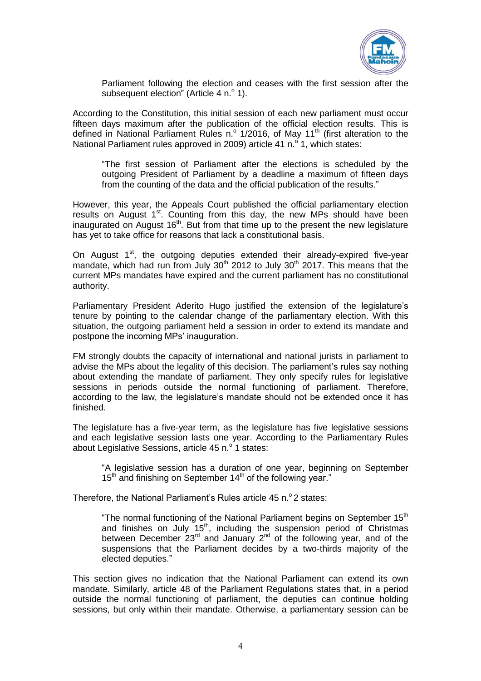

Parliament following the election and ceases with the first session after the subsequent election" (Article 4 n.º 1).

According to the Constitution, this initial session of each new parliament must occur fifteen days maximum after the publication of the official election results. This is defined in National Parliament Rules n.º 1/2016, of May 11<sup>th</sup> (first alteration to the National Parliament rules approved in 2009) article 41 n.<sup>o</sup> 1, which states:

"The first session of Parliament after the elections is scheduled by the outgoing President of Parliament by a deadline a maximum of fifteen days from the counting of the data and the official publication of the results."

However, this year, the Appeals Court published the official parliamentary election results on August 1<sup>st</sup>. Counting from this day, the new MPs should have been inaugurated on August 16<sup>th</sup>. But from that time up to the present the new legislature has yet to take office for reasons that lack a constitutional basis.

On August  $1<sup>st</sup>$ , the outgoing deputies extended their already-expired five-year mandate, which had run from July  $30<sup>th</sup>$  2012 to July  $30<sup>th</sup>$  2017. This means that the current MPs mandates have expired and the current parliament has no constitutional authority.

Parliamentary President Aderito Hugo justified the extension of the legislature's tenure by pointing to the calendar change of the parliamentary election. With this situation, the outgoing parliament held a session in order to extend its mandate and postpone the incoming MPs' inauguration.

FM strongly doubts the capacity of international and national jurists in parliament to advise the MPs about the legality of this decision. The parliament's rules say nothing about extending the mandate of parliament. They only specify rules for legislative sessions in periods outside the normal functioning of parliament. Therefore, according to the law, the legislature's mandate should not be extended once it has finished.

The legislature has a five-year term, as the legislature has five legislative sessions and each legislative session lasts one year. According to the Parliamentary Rules about Legislative Sessions, article 45 n. $\rm ^o$  1 states:

"A legislative session has a duration of one year, beginning on September  $15<sup>th</sup>$  and finishing on September  $14<sup>th</sup>$  of the following year."

Therefore, the National Parliament's Rules article 45 n.º 2 states:

"The normal functioning of the National Parliament begins on September 15<sup>th</sup> and finishes on July 15<sup>th</sup>, including the suspension period of Christmas between December  $23<sup>rd</sup>$  and January  $2<sup>nd</sup>$  of the following year, and of the suspensions that the Parliament decides by a two-thirds majority of the elected deputies."

This section gives no indication that the National Parliament can extend its own mandate. Similarly, article 48 of the Parliament Regulations states that, in a period outside the normal functioning of parliament, the deputies can continue holding sessions, but only within their mandate. Otherwise, a parliamentary session can be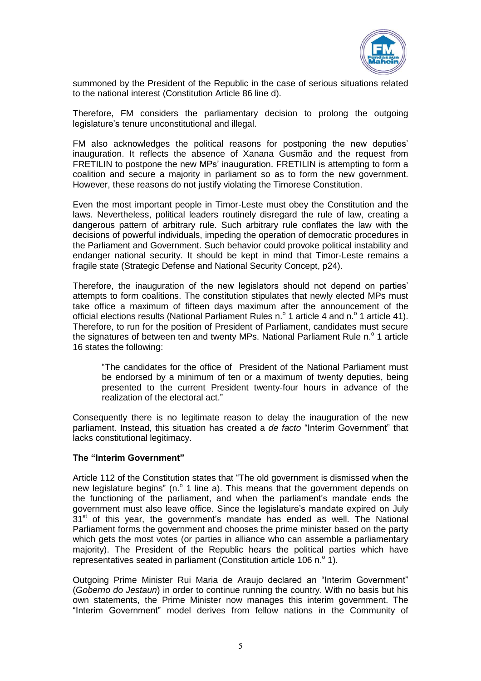

summoned by the President of the Republic in the case of serious situations related to the national interest (Constitution Article 86 line d).

Therefore, FM considers the parliamentary decision to prolong the outgoing legislature's tenure unconstitutional and illegal.

FM also acknowledges the political reasons for postponing the new deputies' inauguration. It reflects the absence of Xanana Gusmão and the request from FRETILIN to postpone the new MPs' inauguration. FRETILIN is attempting to form a coalition and secure a majority in parliament so as to form the new government. However, these reasons do not justify violating the Timorese Constitution.

Even the most important people in Timor-Leste must obey the Constitution and the laws. Nevertheless, political leaders routinely disregard the rule of law, creating a dangerous pattern of arbitrary rule. Such arbitrary rule conflates the law with the decisions of powerful individuals, impeding the operation of democratic procedures in the Parliament and Government. Such behavior could provoke political instability and endanger national security. It should be kept in mind that Timor-Leste remains a fragile state (Strategic Defense and National Security Concept, p24).

Therefore, the inauguration of the new legislators should not depend on parties' attempts to form coalitions. The constitution stipulates that newly elected MPs must take office a maximum of fifteen days maximum after the announcement of the official elections results (National Parliament Rules n. $\textdegree$  1 article 4 and n. $\textdegree$  1 article 41). Therefore, to run for the position of President of Parliament, candidates must secure the signatures of between ten and twenty MPs. National Parliament Rule n. $^{\circ}$  1 article 16 states the following:

"The candidates for the office of President of the National Parliament must be endorsed by a minimum of ten or a maximum of twenty deputies, being presented to the current President twenty-four hours in advance of the realization of the electoral act."

Consequently there is no legitimate reason to delay the inauguration of the new parliament. Instead, this situation has created a *de facto* "Interim Government" that lacks constitutional legitimacy.

#### **The "Interim Government"**

Article 112 of the Constitution states that "The old government is dismissed when the new legislature begins" (n. $^{\circ}$  1 line a). This means that the government depends on the functioning of the parliament, and when the parliament's mandate ends the government must also leave office. Since the legislature's mandate expired on July  $31<sup>st</sup>$  of this year, the government's mandate has ended as well. The National Parliament forms the government and chooses the prime minister based on the party which gets the most votes (or parties in alliance who can assemble a parliamentary majority). The President of the Republic hears the political parties which have representatives seated in parliament (Constitution article 106 n. $^{\circ}$  1).

Outgoing Prime Minister Rui Maria de Araujo declared an "Interim Government" (*Goberno do Jestaun*) in order to continue running the country. With no basis but his own statements, the Prime Minister now manages this interim government. The "Interim Government" model derives from fellow nations in the Community of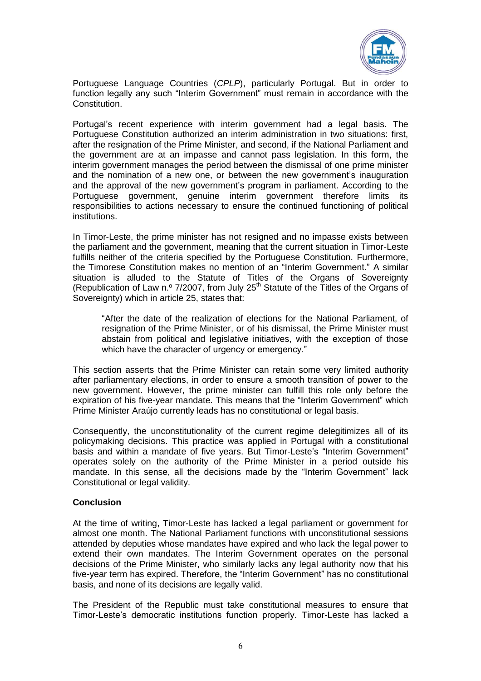

Portuguese Language Countries (*CPLP*), particularly Portugal. But in order to function legally any such "Interim Government" must remain in accordance with the Constitution.

Portugal's recent experience with interim government had a legal basis. The Portuguese Constitution authorized an interim administration in two situations: first, after the resignation of the Prime Minister, and second, if the National Parliament and the government are at an impasse and cannot pass legislation. In this form, the interim government manages the period between the dismissal of one prime minister and the nomination of a new one, or between the new government's inauguration and the approval of the new government's program in parliament. According to the Portuguese government, genuine interim government therefore limits its responsibilities to actions necessary to ensure the continued functioning of political institutions.

In Timor-Leste, the prime minister has not resigned and no impasse exists between the parliament and the government, meaning that the current situation in Timor-Leste fulfills neither of the criteria specified by the Portuguese Constitution. Furthermore, the Timorese Constitution makes no mention of an "Interim Government." A similar situation is alluded to the Statute of Titles of the Organs of Sovereignty (Republication of Law n.º 7/2007, from July  $25<sup>th</sup>$  Statute of the Titles of the Organs of Sovereignty) which in article 25, states that:

"After the date of the realization of elections for the National Parliament, of resignation of the Prime Minister, or of his dismissal, the Prime Minister must abstain from political and legislative initiatives, with the exception of those which have the character of urgency or emergency."

This section asserts that the Prime Minister can retain some very limited authority after parliamentary elections, in order to ensure a smooth transition of power to the new government. However, the prime minister can fulfill this role only before the expiration of his five-year mandate. This means that the "Interim Government" which Prime Minister Araújo currently leads has no constitutional or legal basis.

Consequently, the unconstitutionality of the current regime delegitimizes all of its policymaking decisions. This practice was applied in Portugal with a constitutional basis and within a mandate of five years. But Timor-Leste's "Interim Government" operates solely on the authority of the Prime Minister in a period outside his mandate. In this sense, all the decisions made by the "Interim Government" lack Constitutional or legal validity.

#### **Conclusion**

At the time of writing, Timor-Leste has lacked a legal parliament or government for almost one month. The National Parliament functions with unconstitutional sessions attended by deputies whose mandates have expired and who lack the legal power to extend their own mandates. The Interim Government operates on the personal decisions of the Prime Minister, who similarly lacks any legal authority now that his five-year term has expired. Therefore, the "Interim Government" has no constitutional basis, and none of its decisions are legally valid.

The President of the Republic must take constitutional measures to ensure that Timor-Leste's democratic institutions function properly. Timor-Leste has lacked a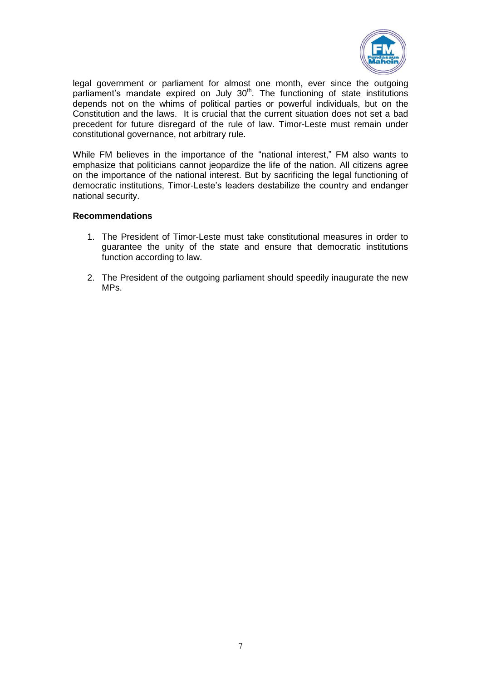

legal government or parliament for almost one month, ever since the outgoing parliament's mandate expired on July 30<sup>th</sup>. The functioning of state institutions depends not on the whims of political parties or powerful individuals, but on the Constitution and the laws. It is crucial that the current situation does not set a bad precedent for future disregard of the rule of law. Timor-Leste must remain under constitutional governance, not arbitrary rule.

While FM believes in the importance of the "national interest," FM also wants to emphasize that politicians cannot jeopardize the life of the nation. All citizens agree on the importance of the national interest. But by sacrificing the legal functioning of democratic institutions, Timor-Leste's leaders destabilize the country and endanger national security.

#### **Recommendations**

- 1. The President of Timor-Leste must take constitutional measures in order to guarantee the unity of the state and ensure that democratic institutions function according to law.
- 2. The President of the outgoing parliament should speedily inaugurate the new MPs.